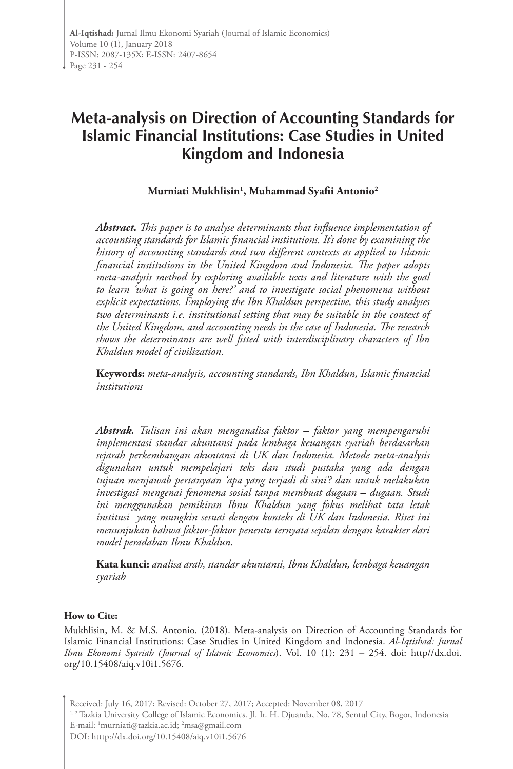# **Meta-analysis on Direction of Accounting Standards for Islamic Financial Institutions: Case Studies in United Kingdom and Indonesia**

**Murniati Mukhlisin1 , Muhammad Syafii Antonio2**

*Abstract. This paper is to analyse determinants that influence implementation of accounting standards for Islamic financial institutions. It's done by examining the history of accounting standards and two different contexts as applied to Islamic financial institutions in the United Kingdom and Indonesia. The paper adopts meta-analysis method by exploring available texts and literature with the goal to learn 'what is going on here?' and to investigate social phenomena without explicit expectations. Employing the Ibn Khaldun perspective, this study analyses two determinants i.e. institutional setting that may be suitable in the context of the United Kingdom, and accounting needs in the case of Indonesia. The research shows the determinants are well fitted with interdisciplinary characters of Ibn Khaldun model of civilization.* 

**Keywords:** *meta-analysis, accounting standards, Ibn Khaldun, Islamic financial institutions*

*Abstrak. Tulisan ini akan menganalisa faktor – faktor yang mempengaruhi implementasi standar akuntansi pada lembaga keuangan syariah berdasarkan sejarah perkembangan akuntansi di UK dan Indonesia. Metode meta-analysis digunakan untuk mempelajari teks dan studi pustaka yang ada dengan tujuan menjawab pertanyaan 'apa yang terjadi di sini'? dan untuk melakukan investigasi mengenai fenomena sosial tanpa membuat dugaan – dugaan. Studi ini menggunakan pemikiran Ibnu Khaldun yang fokus melihat tata letak institusi yang mungkin sesuai dengan konteks di UK dan Indonesia. Riset ini menunjukan bahwa faktor-faktor penentu ternyata sejalan dengan karakter dari model peradaban Ibnu Khaldun.* 

**Kata kunci:** *analisa arah, standar akuntansi, Ibnu Khaldun, lembaga keuangan syariah*

#### **How to Cite:**

Mukhlisin, M. & M.S. Antonio. (2018). Meta-analysis on Direction of Accounting Standards for Islamic Financial Institutions: Case Studies in United Kingdom and Indonesia. *Al-Iqtishad: Jurnal Ilmu Ekonomi Syariah (Journal of Islamic Economics*). Vol. 10 (1): 231 – 254. doi: http//dx.doi. org/10.15408/aiq.v10i1.5676.

Received: July 16, 2017; Revised: October 27, 2017; Accepted: November 08, 2017 <sup>1, 2</sup> Tazkia University College of Islamic Economics. Jl. Ir. H. Djuanda, No. 78, Sentul City, Bogor, Indonesia

E-mail: 1 murniati@tazkia.ac.id; 2 msa@gmail.com

DOI: htttp://dx.doi.org/10.15408/aiq.v10i1.5676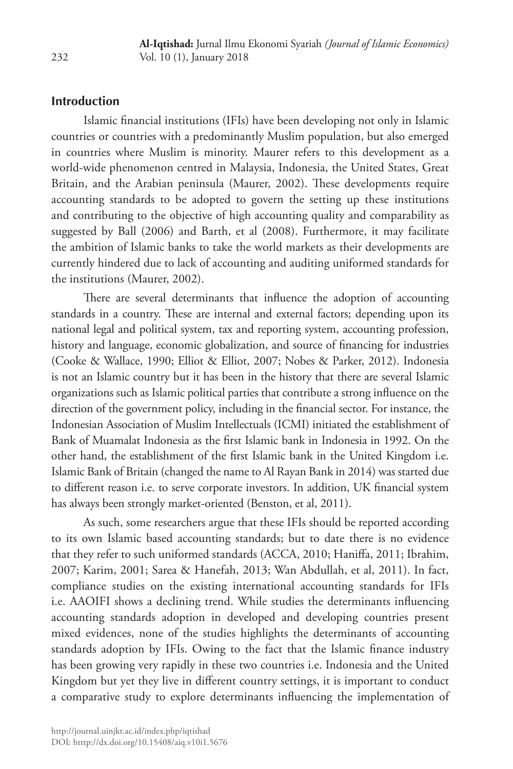# **Introduction**

Islamic financial institutions (IFIs) have been developing not only in Islamic countries or countries with a predominantly Muslim population, but also emerged in countries where Muslim is minority. Maurer refers to this development as a world-wide phenomenon centred in Malaysia, Indonesia, the United States, Great Britain, and the Arabian peninsula (Maurer, 2002). These developments require accounting standards to be adopted to govern the setting up these institutions and contributing to the objective of high accounting quality and comparability as suggested by Ball (2006) and Barth, et al (2008). Furthermore, it may facilitate the ambition of Islamic banks to take the world markets as their developments are currently hindered due to lack of accounting and auditing uniformed standards for the institutions (Maurer, 2002).

There are several determinants that influence the adoption of accounting standards in a country. These are internal and external factors; depending upon its national legal and political system, tax and reporting system, accounting profession, history and language, economic globalization, and source of financing for industries (Cooke & Wallace, 1990; Elliot & Elliot, 2007; Nobes & Parker, 2012). Indonesia is not an Islamic country but it has been in the history that there are several Islamic organizations such as Islamic political parties that contribute a strong influence on the direction of the government policy, including in the financial sector. For instance, the Indonesian Association of Muslim Intellectuals (ICMI) initiated the establishment of Bank of Muamalat Indonesia as the first Islamic bank in Indonesia in 1992. On the other hand, the establishment of the first Islamic bank in the United Kingdom i.e. Islamic Bank of Britain (changed the name to Al Rayan Bank in 2014) was started due to different reason i.e. to serve corporate investors. In addition, UK financial system has always been strongly market-oriented (Benston, et al, 2011).

As such, some researchers argue that these IFIs should be reported according to its own Islamic based accounting standards; but to date there is no evidence that they refer to such uniformed standards (ACCA, 2010; Haniffa, 2011; Ibrahim, 2007; Karim, 2001; Sarea & Hanefah, 2013; Wan Abdullah, et al, 2011). In fact, compliance studies on the existing international accounting standards for IFIs i.e. AAOIFI shows a declining trend. While studies the determinants influencing accounting standards adoption in developed and developing countries present mixed evidences, none of the studies highlights the determinants of accounting standards adoption by IFIs. Owing to the fact that the Islamic finance industry has been growing very rapidly in these two countries i.e. Indonesia and the United Kingdom but yet they live in different country settings, it is important to conduct a comparative study to explore determinants influencing the implementation of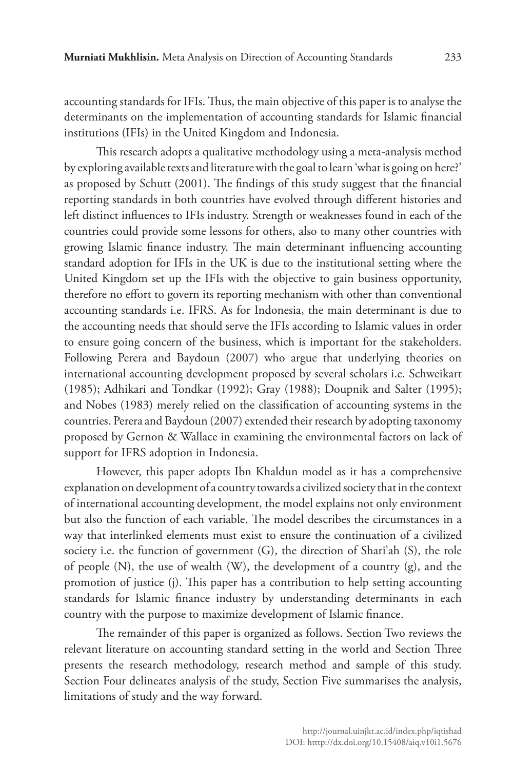accounting standards for IFIs. Thus, the main objective of this paper is to analyse the determinants on the implementation of accounting standards for Islamic financial institutions (IFIs) in the United Kingdom and Indonesia.

This research adopts a qualitative methodology using a meta-analysis method by exploring available texts and literature with the goal to learn 'what is going on here?' as proposed by Schutt (2001). The findings of this study suggest that the financial reporting standards in both countries have evolved through different histories and left distinct influences to IFIs industry. Strength or weaknesses found in each of the countries could provide some lessons for others, also to many other countries with growing Islamic finance industry. The main determinant influencing accounting standard adoption for IFIs in the UK is due to the institutional setting where the United Kingdom set up the IFIs with the objective to gain business opportunity, therefore no effort to govern its reporting mechanism with other than conventional accounting standards i.e. IFRS. As for Indonesia, the main determinant is due to the accounting needs that should serve the IFIs according to Islamic values in order to ensure going concern of the business, which is important for the stakeholders. Following Perera and Baydoun (2007) who argue that underlying theories on international accounting development proposed by several scholars i.e. Schweikart (1985); Adhikari and Tondkar (1992); Gray (1988); Doupnik and Salter (1995); and Nobes (1983) merely relied on the classification of accounting systems in the countries. Perera and Baydoun (2007) extended their research by adopting taxonomy proposed by Gernon & Wallace in examining the environmental factors on lack of support for IFRS adoption in Indonesia.

However, this paper adopts Ibn Khaldun model as it has a comprehensive explanation on development of a country towards a civilized society that in the context of international accounting development, the model explains not only environment but also the function of each variable. The model describes the circumstances in a way that interlinked elements must exist to ensure the continuation of a civilized society i.e. the function of government (G), the direction of Shari'ah (S), the role of people (N), the use of wealth (W), the development of a country (g), and the promotion of justice (j). This paper has a contribution to help setting accounting standards for Islamic finance industry by understanding determinants in each country with the purpose to maximize development of Islamic finance.

The remainder of this paper is organized as follows. Section Two reviews the relevant literature on accounting standard setting in the world and Section Three presents the research methodology, research method and sample of this study. Section Four delineates analysis of the study, Section Five summarises the analysis, limitations of study and the way forward.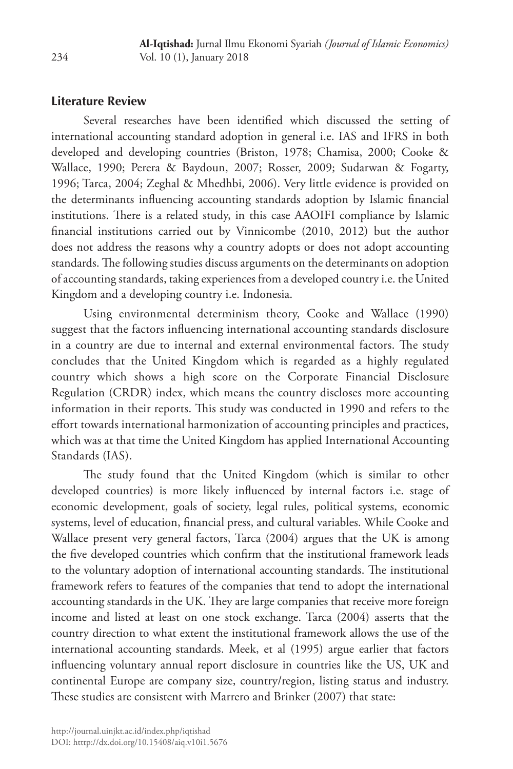# **Literature Review**

Several researches have been identified which discussed the setting of international accounting standard adoption in general i.e. IAS and IFRS in both developed and developing countries (Briston, 1978; Chamisa, 2000; Cooke & Wallace, 1990; Perera & Baydoun, 2007; Rosser, 2009; Sudarwan & Fogarty, 1996; Tarca, 2004; Zeghal & Mhedhbi, 2006). Very little evidence is provided on the determinants influencing accounting standards adoption by Islamic financial institutions. There is a related study, in this case AAOIFI compliance by Islamic financial institutions carried out by Vinnicombe (2010, 2012) but the author does not address the reasons why a country adopts or does not adopt accounting standards. The following studies discuss arguments on the determinants on adoption of accounting standards, taking experiences from a developed country i.e. the United Kingdom and a developing country i.e. Indonesia.

Using environmental determinism theory, Cooke and Wallace (1990) suggest that the factors influencing international accounting standards disclosure in a country are due to internal and external environmental factors. The study concludes that the United Kingdom which is regarded as a highly regulated country which shows a high score on the Corporate Financial Disclosure Regulation (CRDR) index, which means the country discloses more accounting information in their reports. This study was conducted in 1990 and refers to the effort towards international harmonization of accounting principles and practices, which was at that time the United Kingdom has applied International Accounting Standards (IAS).

The study found that the United Kingdom (which is similar to other developed countries) is more likely influenced by internal factors i.e. stage of economic development, goals of society, legal rules, political systems, economic systems, level of education, financial press, and cultural variables. While Cooke and Wallace present very general factors, Tarca (2004) argues that the UK is among the five developed countries which confirm that the institutional framework leads to the voluntary adoption of international accounting standards. The institutional framework refers to features of the companies that tend to adopt the international accounting standards in the UK. They are large companies that receive more foreign income and listed at least on one stock exchange. Tarca (2004) asserts that the country direction to what extent the institutional framework allows the use of the international accounting standards. Meek, et al (1995) argue earlier that factors influencing voluntary annual report disclosure in countries like the US, UK and continental Europe are company size, country/region, listing status and industry. These studies are consistent with Marrero and Brinker (2007) that state: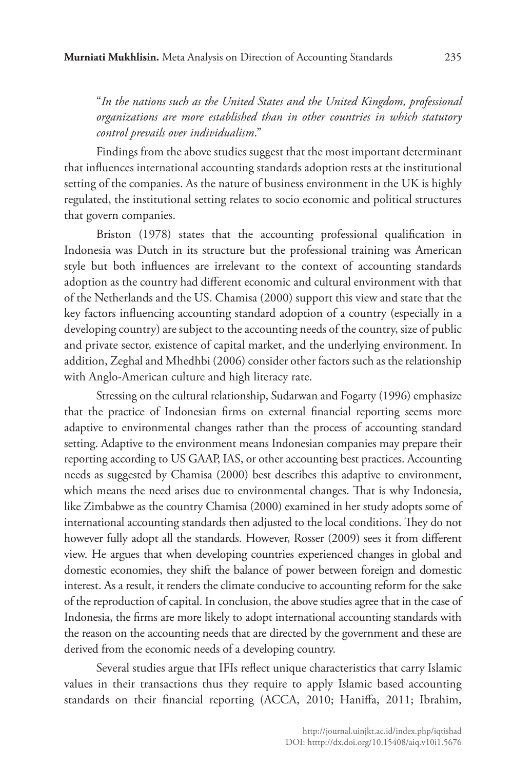"*In the nations such as the United States and the United Kingdom, professional organizations are more established than in other countries in which statutory control prevails over individualism*."

Findings from the above studies suggest that the most important determinant that influences international accounting standards adoption rests at the institutional setting of the companies. As the nature of business environment in the UK is highly regulated, the institutional setting relates to socio economic and political structures that govern companies.

Briston (1978) states that the accounting professional qualification in Indonesia was Dutch in its structure but the professional training was American style but both influences are irrelevant to the context of accounting standards adoption as the country had different economic and cultural environment with that of the Netherlands and the US. Chamisa (2000) support this view and state that the key factors influencing accounting standard adoption of a country (especially in a developing country) are subject to the accounting needs of the country, size of public and private sector, existence of capital market, and the underlying environment. In addition, Zeghal and Mhedhbi (2006) consider other factors such as the relationship with Anglo-American culture and high literacy rate.

Stressing on the cultural relationship, Sudarwan and Fogarty (1996) emphasize that the practice of Indonesian firms on external financial reporting seems more adaptive to environmental changes rather than the process of accounting standard setting. Adaptive to the environment means Indonesian companies may prepare their reporting according to US GAAP, IAS, or other accounting best practices. Accounting needs as suggested by Chamisa (2000) best describes this adaptive to environment, which means the need arises due to environmental changes. That is why Indonesia, like Zimbabwe as the country Chamisa (2000) examined in her study adopts some of international accounting standards then adjusted to the local conditions. They do not however fully adopt all the standards. However, Rosser (2009) sees it from different view. He argues that when developing countries experienced changes in global and domestic economies, they shift the balance of power between foreign and domestic interest. As a result, it renders the climate conducive to accounting reform for the sake of the reproduction of capital. In conclusion, the above studies agree that in the case of Indonesia, the firms are more likely to adopt international accounting standards with the reason on the accounting needs that are directed by the government and these are derived from the economic needs of a developing country.

Several studies argue that IFIs reflect unique characteristics that carry Islamic values in their transactions thus they require to apply Islamic based accounting standards on their financial reporting (ACCA, 2010; Haniffa, 2011; Ibrahim,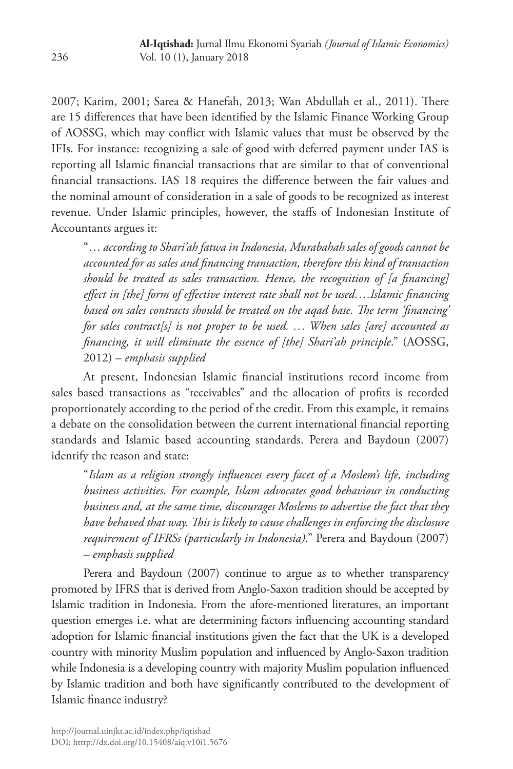2007; Karim, 2001; Sarea & Hanefah, 2013; Wan Abdullah et al., 2011). There are 15 differences that have been identified by the Islamic Finance Working Group of AOSSG, which may conflict with Islamic values that must be observed by the IFIs. For instance: recognizing a sale of good with deferred payment under IAS is reporting all Islamic financial transactions that are similar to that of conventional financial transactions. IAS 18 requires the difference between the fair values and the nominal amount of consideration in a sale of goods to be recognized as interest revenue. Under Islamic principles, however, the staffs of Indonesian Institute of Accountants argues it:

"… *according to Shari'ah fatwa in Indonesia, Murabahah sales of goods cannot be accounted for as sales and financing transaction, therefore this kind of transaction should be treated as sales transaction. Hence, the recognition of [a financing] effect in [the] form of effective interest rate shall not be used….Islamic financing based on sales contracts should be treated on the aqad base. The term 'financing' for sales contract[s] is not proper to be used. … When sales [are] accounted as financing, it will eliminate the essence of [the] Shari'ah principle*." (AOSSG, 2012) – *emphasis supplied*

At present, Indonesian Islamic financial institutions record income from sales based transactions as "receivables" and the allocation of profits is recorded proportionately according to the period of the credit. From this example, it remains a debate on the consolidation between the current international financial reporting standards and Islamic based accounting standards. Perera and Baydoun (2007) identify the reason and state:

"*Islam as a religion strongly influences every facet of a Moslem's life, including business activities. For example, Islam advocates good behaviour in conducting business and, at the same time, discourages Moslems to advertise the fact that they have behaved that way. This is likely to cause challenges in enforcing the disclosure requirement of IFRSs (particularly in Indonesia)*." Perera and Baydoun (2007) – *emphasis supplied*

Perera and Baydoun (2007) continue to argue as to whether transparency promoted by IFRS that is derived from Anglo-Saxon tradition should be accepted by Islamic tradition in Indonesia. From the afore-mentioned literatures, an important question emerges i.e. what are determining factors influencing accounting standard adoption for Islamic financial institutions given the fact that the UK is a developed country with minority Muslim population and influenced by Anglo-Saxon tradition while Indonesia is a developing country with majority Muslim population influenced by Islamic tradition and both have significantly contributed to the development of Islamic finance industry?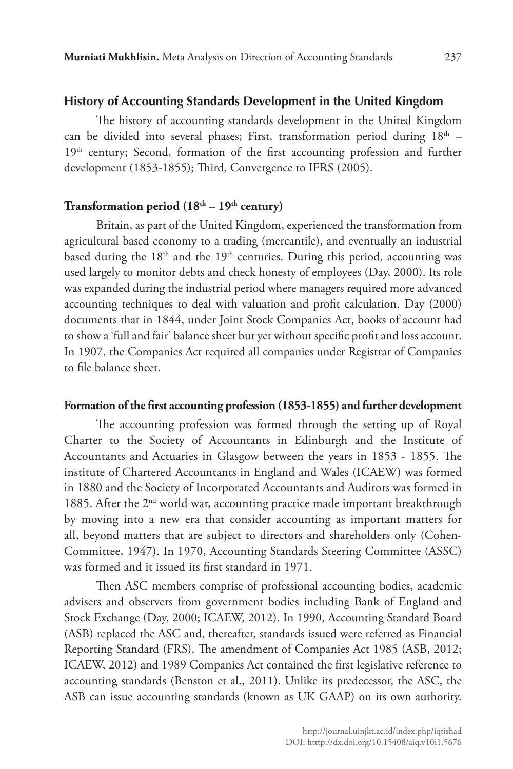#### **History of Accounting Standards Development in the United Kingdom**

The history of accounting standards development in the United Kingdom can be divided into several phases; First, transformation period during  $18<sup>th</sup>$  -19<sup>th</sup> century; Second, formation of the first accounting profession and further development (1853-1855); Third, Convergence to IFRS (2005).

#### Transformation period (18<sup>th</sup> – 19<sup>th</sup> century)

Britain, as part of the United Kingdom, experienced the transformation from agricultural based economy to a trading (mercantile), and eventually an industrial based during the 18<sup>th</sup> and the 19<sup>th</sup> centuries. During this period, accounting was used largely to monitor debts and check honesty of employees (Day, 2000). Its role was expanded during the industrial period where managers required more advanced accounting techniques to deal with valuation and profit calculation. Day (2000) documents that in 1844, under Joint Stock Companies Act, books of account had to show a 'full and fair' balance sheet but yet without specific profit and loss account. In 1907, the Companies Act required all companies under Registrar of Companies to file balance sheet.

#### **Formation of the first accounting profession (1853-1855) and further development**

The accounting profession was formed through the setting up of Royal Charter to the Society of Accountants in Edinburgh and the Institute of Accountants and Actuaries in Glasgow between the years in 1853 - 1855. The institute of Chartered Accountants in England and Wales (ICAEW) was formed in 1880 and the Society of Incorporated Accountants and Auditors was formed in 1885. After the 2<sup>nd</sup> world war, accounting practice made important breakthrough by moving into a new era that consider accounting as important matters for all, beyond matters that are subject to directors and shareholders only (Cohen-Committee, 1947). In 1970, Accounting Standards Steering Committee (ASSC) was formed and it issued its first standard in 1971.

Then ASC members comprise of professional accounting bodies, academic advisers and observers from government bodies including Bank of England and Stock Exchange (Day, 2000; ICAEW, 2012). In 1990, Accounting Standard Board (ASB) replaced the ASC and, thereafter, standards issued were referred as Financial Reporting Standard (FRS). The amendment of Companies Act 1985 (ASB, 2012; ICAEW, 2012) and 1989 Companies Act contained the first legislative reference to accounting standards (Benston et al., 2011). Unlike its predecessor, the ASC, the ASB can issue accounting standards (known as UK GAAP) on its own authority.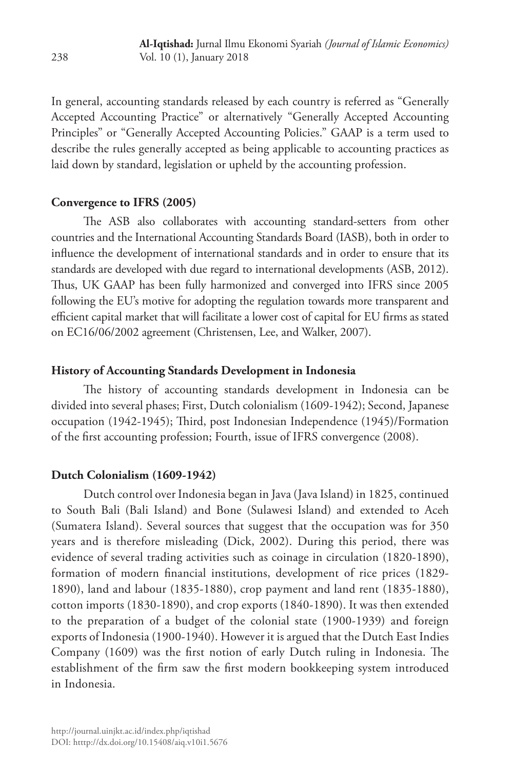In general, accounting standards released by each country is referred as "Generally Accepted Accounting Practice" or alternatively "Generally Accepted Accounting Principles" or "Generally Accepted Accounting Policies." GAAP is a term used to describe the rules generally accepted as being applicable to accounting practices as laid down by standard, legislation or upheld by the accounting profession.

### **Convergence to IFRS (2005)**

The ASB also collaborates with accounting standard-setters from other countries and the International Accounting Standards Board (IASB), both in order to influence the development of international standards and in order to ensure that its standards are developed with due regard to international developments (ASB, 2012). Thus, UK GAAP has been fully harmonized and converged into IFRS since 2005 following the EU's motive for adopting the regulation towards more transparent and efficient capital market that will facilitate a lower cost of capital for EU firms as stated on EC16/06/2002 agreement (Christensen, Lee, and Walker, 2007).

### **History of Accounting Standards Development in Indonesia**

The history of accounting standards development in Indonesia can be divided into several phases; First, Dutch colonialism (1609-1942); Second, Japanese occupation (1942-1945); Third, post Indonesian Independence (1945)/Formation of the first accounting profession; Fourth, issue of IFRS convergence (2008).

### **Dutch Colonialism (1609-1942)**

Dutch control over Indonesia began in Java (Java Island) in 1825, continued to South Bali (Bali Island) and Bone (Sulawesi Island) and extended to Aceh (Sumatera Island). Several sources that suggest that the occupation was for 350 years and is therefore misleading (Dick, 2002). During this period, there was evidence of several trading activities such as coinage in circulation (1820-1890), formation of modern financial institutions, development of rice prices (1829- 1890), land and labour (1835-1880), crop payment and land rent (1835-1880), cotton imports (1830-1890), and crop exports (1840-1890). It was then extended to the preparation of a budget of the colonial state (1900-1939) and foreign exports of Indonesia (1900-1940). However it is argued that the Dutch East Indies Company (1609) was the first notion of early Dutch ruling in Indonesia. The establishment of the firm saw the first modern bookkeeping system introduced in Indonesia.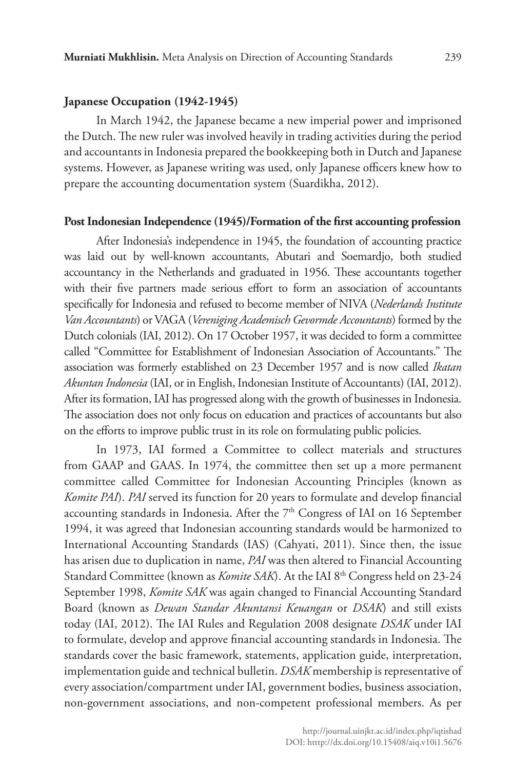#### **Japanese Occupation (1942-1945)**

In March 1942, the Japanese became a new imperial power and imprisoned the Dutch. The new ruler was involved heavily in trading activities during the period and accountants in Indonesia prepared the bookkeeping both in Dutch and Japanese systems. However, as Japanese writing was used, only Japanese officers knew how to prepare the accounting documentation system (Suardikha, 2012).

#### **Post Indonesian Independence (1945)/Formation of the first accounting profession**

After Indonesia's independence in 1945, the foundation of accounting practice was laid out by well-known accountants, Abutari and Soemardjo, both studied accountancy in the Netherlands and graduated in 1956. These accountants together with their five partners made serious effort to form an association of accountants specifically for Indonesia and refused to become member of NIVA (*Nederlands Institute Van Accountants*) or VAGA (*Vereniging Academisch Gevormde Accountants*) formed by the Dutch colonials (IAI, 2012). On 17 October 1957, it was decided to form a committee called "Committee for Establishment of Indonesian Association of Accountants." The association was formerly established on 23 December 1957 and is now called *Ikatan Akuntan Indonesia* (IAI, or in English, Indonesian Institute of Accountants) (IAI, 2012). After its formation, IAI has progressed along with the growth of businesses in Indonesia. The association does not only focus on education and practices of accountants but also on the efforts to improve public trust in its role on formulating public policies.

In 1973, IAI formed a Committee to collect materials and structures from GAAP and GAAS. In 1974, the committee then set up a more permanent committee called Committee for Indonesian Accounting Principles (known as *Komite PAI*). *PAI* served its function for 20 years to formulate and develop financial accounting standards in Indonesia. After the  $7<sup>th</sup>$  Congress of IAI on 16 September 1994, it was agreed that Indonesian accounting standards would be harmonized to International Accounting Standards (IAS) (Cahyati, 2011). Since then, the issue has arisen due to duplication in name, *PAI* was then altered to Financial Accounting Standard Committee (known as *Komite SAK*). At the IAI 8<sup>th</sup> Congress held on 23-24 September 1998, *Komite SAK* was again changed to Financial Accounting Standard Board (known as *Dewan Standar Akuntansi Keuangan* or *DSAK*) and still exists today (IAI, 2012). The IAI Rules and Regulation 2008 designate *DSAK* under IAI to formulate, develop and approve financial accounting standards in Indonesia. The standards cover the basic framework, statements, application guide, interpretation, implementation guide and technical bulletin. *DSAK* membership is representative of every association/compartment under IAI, government bodies, business association, non-government associations, and non-competent professional members. As per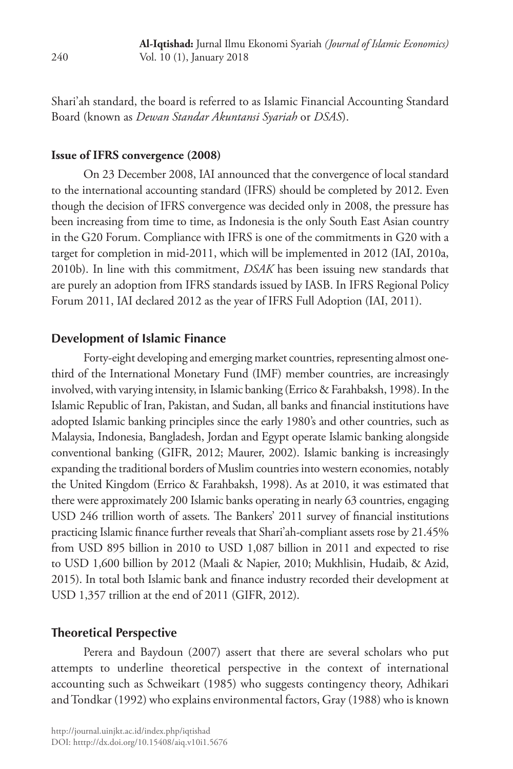Shari'ah standard, the board is referred to as Islamic Financial Accounting Standard Board (known as *Dewan Standar Akuntansi Syariah* or *DSAS*).

#### **Issue of IFRS convergence (2008)**

On 23 December 2008, IAI announced that the convergence of local standard to the international accounting standard (IFRS) should be completed by 2012. Even though the decision of IFRS convergence was decided only in 2008, the pressure has been increasing from time to time, as Indonesia is the only South East Asian country in the G20 Forum. Compliance with IFRS is one of the commitments in G20 with a target for completion in mid-2011, which will be implemented in 2012 (IAI, 2010a, 2010b). In line with this commitment, *DSAK* has been issuing new standards that are purely an adoption from IFRS standards issued by IASB. In IFRS Regional Policy Forum 2011, IAI declared 2012 as the year of IFRS Full Adoption (IAI, 2011).

#### **Development of Islamic Finance**

Forty-eight developing and emerging market countries, representing almost onethird of the International Monetary Fund (IMF) member countries, are increasingly involved, with varying intensity, in Islamic banking (Errico & Farahbaksh, 1998). In the Islamic Republic of Iran, Pakistan, and Sudan, all banks and financial institutions have adopted Islamic banking principles since the early 1980's and other countries, such as Malaysia, Indonesia, Bangladesh, Jordan and Egypt operate Islamic banking alongside conventional banking (GIFR, 2012; Maurer, 2002). Islamic banking is increasingly expanding the traditional borders of Muslim countries into western economies, notably the United Kingdom (Errico & Farahbaksh, 1998). As at 2010, it was estimated that there were approximately 200 Islamic banks operating in nearly 63 countries, engaging USD 246 trillion worth of assets. The Bankers' 2011 survey of financial institutions practicing Islamic finance further reveals that Shari'ah-compliant assets rose by 21.45% from USD 895 billion in 2010 to USD 1,087 billion in 2011 and expected to rise to USD 1,600 billion by 2012 (Maali & Napier, 2010; Mukhlisin, Hudaib, & Azid, 2015). In total both Islamic bank and finance industry recorded their development at USD 1,357 trillion at the end of 2011 (GIFR, 2012).

#### **Theoretical Perspective**

Perera and Baydoun (2007) assert that there are several scholars who put attempts to underline theoretical perspective in the context of international accounting such as Schweikart (1985) who suggests contingency theory, Adhikari and Tondkar (1992) who explains environmental factors, Gray (1988) who is known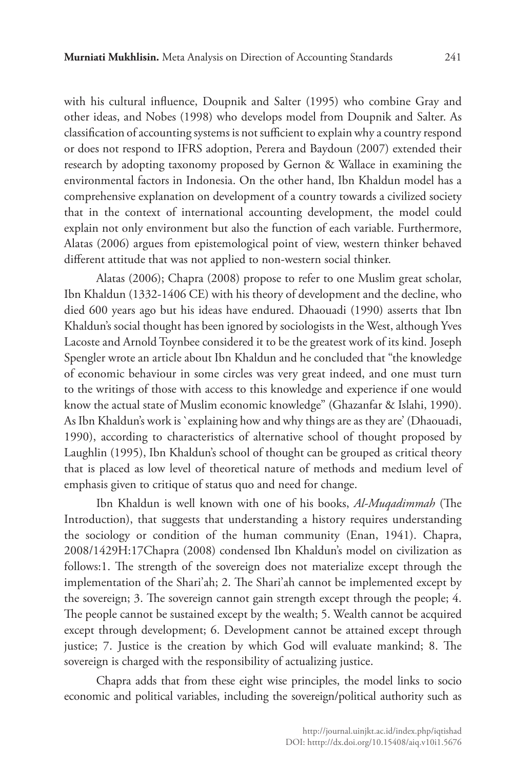with his cultural influence, Doupnik and Salter (1995) who combine Gray and other ideas, and Nobes (1998) who develops model from Doupnik and Salter. As classification of accounting systems is not sufficient to explain why a country respond or does not respond to IFRS adoption, Perera and Baydoun (2007) extended their research by adopting taxonomy proposed by Gernon & Wallace in examining the environmental factors in Indonesia. On the other hand, Ibn Khaldun model has a comprehensive explanation on development of a country towards a civilized society that in the context of international accounting development, the model could explain not only environment but also the function of each variable. Furthermore, Alatas (2006) argues from epistemological point of view, western thinker behaved different attitude that was not applied to non-western social thinker.

Alatas (2006); Chapra (2008) propose to refer to one Muslim great scholar, Ibn Khaldun (1332-1406 CE) with his theory of development and the decline, who died 600 years ago but his ideas have endured. Dhaouadi (1990) asserts that Ibn Khaldun's social thought has been ignored by sociologists in the West, although Yves Lacoste and Arnold Toynbee considered it to be the greatest work of its kind. Joseph Spengler wrote an article about Ibn Khaldun and he concluded that "the knowledge of economic behaviour in some circles was very great indeed, and one must turn to the writings of those with access to this knowledge and experience if one would know the actual state of Muslim economic knowledge" (Ghazanfar & Islahi, 1990). As Ibn Khaldun's work is `explaining how and why things are as they are' (Dhaouadi, 1990), according to characteristics of alternative school of thought proposed by Laughlin (1995), Ibn Khaldun's school of thought can be grouped as critical theory that is placed as low level of theoretical nature of methods and medium level of emphasis given to critique of status quo and need for change.

Ibn Khaldun is well known with one of his books, *Al-Muqadimmah* (The Introduction), that suggests that understanding a history requires understanding the sociology or condition of the human community (Enan, 1941). Chapra, 2008/1429H:17Chapra (2008) condensed Ibn Khaldun's model on civilization as follows:1. The strength of the sovereign does not materialize except through the implementation of the Shari'ah; 2. The Shari'ah cannot be implemented except by the sovereign; 3. The sovereign cannot gain strength except through the people; 4. The people cannot be sustained except by the wealth; 5. Wealth cannot be acquired except through development; 6. Development cannot be attained except through justice; 7. Justice is the creation by which God will evaluate mankind; 8. The sovereign is charged with the responsibility of actualizing justice.

Chapra adds that from these eight wise principles, the model links to socio economic and political variables, including the sovereign/political authority such as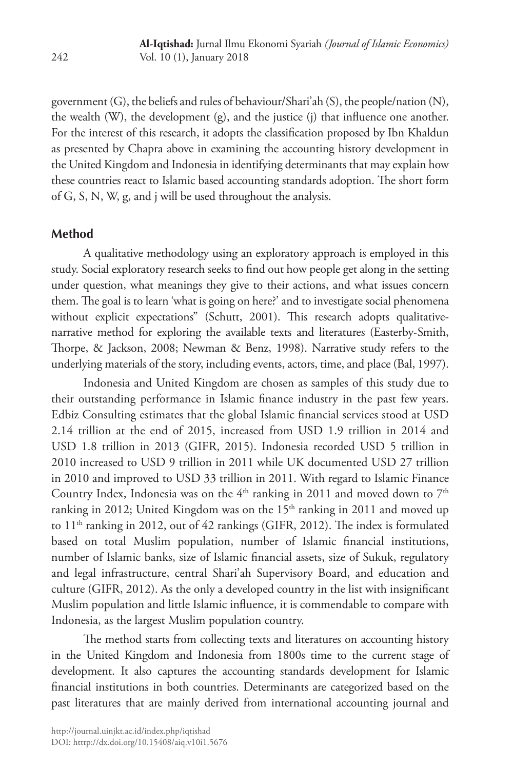government (G), the beliefs and rules of behaviour/Shari'ah (S), the people/nation (N), the wealth (W), the development (g), and the justice (j) that influence one another. For the interest of this research, it adopts the classification proposed by Ibn Khaldun as presented by Chapra above in examining the accounting history development in the United Kingdom and Indonesia in identifying determinants that may explain how these countries react to Islamic based accounting standards adoption. The short form of G, S, N, W, g, and j will be used throughout the analysis.

# **Method**

A qualitative methodology using an exploratory approach is employed in this study. Social exploratory research seeks to find out how people get along in the setting under question, what meanings they give to their actions, and what issues concern them. The goal is to learn 'what is going on here?' and to investigate social phenomena without explicit expectations" (Schutt, 2001). This research adopts qualitativenarrative method for exploring the available texts and literatures (Easterby-Smith, Thorpe, & Jackson, 2008; Newman & Benz, 1998). Narrative study refers to the underlying materials of the story, including events, actors, time, and place (Bal, 1997).

Indonesia and United Kingdom are chosen as samples of this study due to their outstanding performance in Islamic finance industry in the past few years. Edbiz Consulting estimates that the global Islamic financial services stood at USD 2.14 trillion at the end of 2015, increased from USD 1.9 trillion in 2014 and USD 1.8 trillion in 2013 (GIFR, 2015). Indonesia recorded USD 5 trillion in 2010 increased to USD 9 trillion in 2011 while UK documented USD 27 trillion in 2010 and improved to USD 33 trillion in 2011. With regard to Islamic Finance Country Index, Indonesia was on the  $4<sup>th</sup>$  ranking in 2011 and moved down to  $7<sup>th</sup>$ ranking in 2012; United Kingdom was on the 15<sup>th</sup> ranking in 2011 and moved up to 11<sup>th</sup> ranking in 2012, out of 42 rankings (GIFR, 2012). The index is formulated based on total Muslim population, number of Islamic financial institutions, number of Islamic banks, size of Islamic financial assets, size of Sukuk, regulatory and legal infrastructure, central Shari'ah Supervisory Board, and education and culture (GIFR, 2012). As the only a developed country in the list with insignificant Muslim population and little Islamic influence, it is commendable to compare with Indonesia, as the largest Muslim population country.

The method starts from collecting texts and literatures on accounting history in the United Kingdom and Indonesia from 1800s time to the current stage of development. It also captures the accounting standards development for Islamic financial institutions in both countries. Determinants are categorized based on the past literatures that are mainly derived from international accounting journal and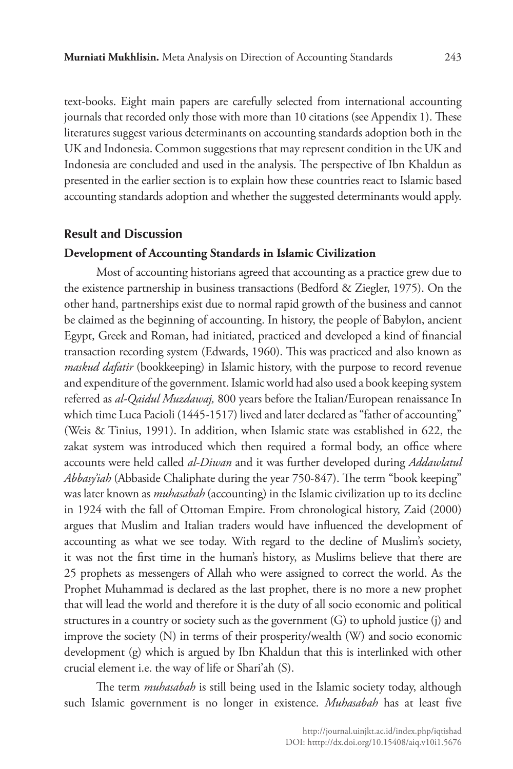text-books. Eight main papers are carefully selected from international accounting journals that recorded only those with more than 10 citations (see Appendix 1). These literatures suggest various determinants on accounting standards adoption both in the UK and Indonesia. Common suggestions that may represent condition in the UK and Indonesia are concluded and used in the analysis. The perspective of Ibn Khaldun as presented in the earlier section is to explain how these countries react to Islamic based accounting standards adoption and whether the suggested determinants would apply.

### **Result and Discussion**

#### **Development of Accounting Standards in Islamic Civilization**

Most of accounting historians agreed that accounting as a practice grew due to the existence partnership in business transactions (Bedford & Ziegler, 1975). On the other hand, partnerships exist due to normal rapid growth of the business and cannot be claimed as the beginning of accounting. In history, the people of Babylon, ancient Egypt, Greek and Roman, had initiated, practiced and developed a kind of financial transaction recording system (Edwards, 1960). This was practiced and also known as *maskud dafatir* (bookkeeping) in Islamic history, with the purpose to record revenue and expenditure of the government. Islamic world had also used a book keeping system referred as *al-Qaidul Muzdawaj,* 800 years before the Italian/European renaissance In which time Luca Pacioli (1445-1517) lived and later declared as "father of accounting" (Weis & Tinius, 1991). In addition, when Islamic state was established in 622, the zakat system was introduced which then required a formal body, an office where accounts were held called *al-Diwan* and it was further developed during *Addawlatul Abbasy'iah* (Abbaside Chaliphate during the year 750-847). The term "book keeping" was later known as *muhasabah* (accounting) in the Islamic civilization up to its decline in 1924 with the fall of Ottoman Empire. From chronological history, Zaid (2000) argues that Muslim and Italian traders would have influenced the development of accounting as what we see today. With regard to the decline of Muslim's society, it was not the first time in the human's history, as Muslims believe that there are 25 prophets as messengers of Allah who were assigned to correct the world. As the Prophet Muhammad is declared as the last prophet, there is no more a new prophet that will lead the world and therefore it is the duty of all socio economic and political structures in a country or society such as the government (G) to uphold justice (j) and improve the society (N) in terms of their prosperity/wealth (W) and socio economic development (g) which is argued by Ibn Khaldun that this is interlinked with other crucial element i.e. the way of life or Shari'ah (S).

The term *muhasabah* is still being used in the Islamic society today, although such Islamic government is no longer in existence. *Muhasabah* has at least five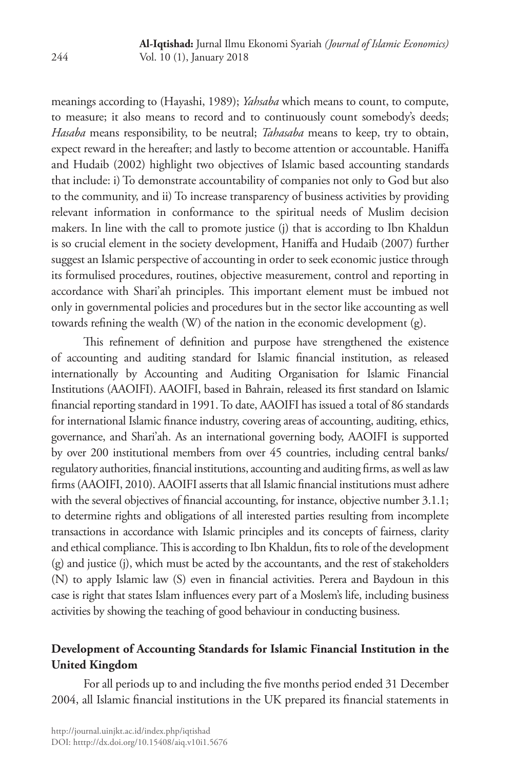meanings according to (Hayashi, 1989); *Yahsaba* which means to count, to compute, to measure; it also means to record and to continuously count somebody's deeds; *Hasaba* means responsibility, to be neutral; *Tahasaba* means to keep, try to obtain, expect reward in the hereafter; and lastly to become attention or accountable. Haniffa and Hudaib (2002) highlight two objectives of Islamic based accounting standards that include: i) To demonstrate accountability of companies not only to God but also to the community, and ii) To increase transparency of business activities by providing relevant information in conformance to the spiritual needs of Muslim decision makers. In line with the call to promote justice (j) that is according to Ibn Khaldun is so crucial element in the society development, Haniffa and Hudaib (2007) further suggest an Islamic perspective of accounting in order to seek economic justice through its formulised procedures, routines, objective measurement, control and reporting in accordance with Shari'ah principles. This important element must be imbued not only in governmental policies and procedures but in the sector like accounting as well towards refining the wealth (W) of the nation in the economic development (g).

This refinement of definition and purpose have strengthened the existence of accounting and auditing standard for Islamic financial institution, as released internationally by Accounting and Auditing Organisation for Islamic Financial Institutions (AAOIFI). AAOIFI, based in Bahrain, released its first standard on Islamic financial reporting standard in 1991. To date, AAOIFI has issued a total of 86 standards for international Islamic finance industry, covering areas of accounting, auditing, ethics, governance, and Shari'ah. As an international governing body, AAOIFI is supported by over 200 institutional members from over 45 countries, including central banks/ regulatory authorities, financial institutions, accounting and auditing firms, as well as law firms (AAOIFI, 2010). AAOIFI asserts that all Islamic financial institutions must adhere with the several objectives of financial accounting, for instance, objective number 3.1.1; to determine rights and obligations of all interested parties resulting from incomplete transactions in accordance with Islamic principles and its concepts of fairness, clarity and ethical compliance. This is according to Ibn Khaldun, fits to role of the development (g) and justice (j), which must be acted by the accountants, and the rest of stakeholders (N) to apply Islamic law (S) even in financial activities. Perera and Baydoun in this case is right that states Islam influences every part of a Moslem's life, including business activities by showing the teaching of good behaviour in conducting business.

# **Development of Accounting Standards for Islamic Financial Institution in the United Kingdom**

For all periods up to and including the five months period ended 31 December 2004, all Islamic financial institutions in the UK prepared its financial statements in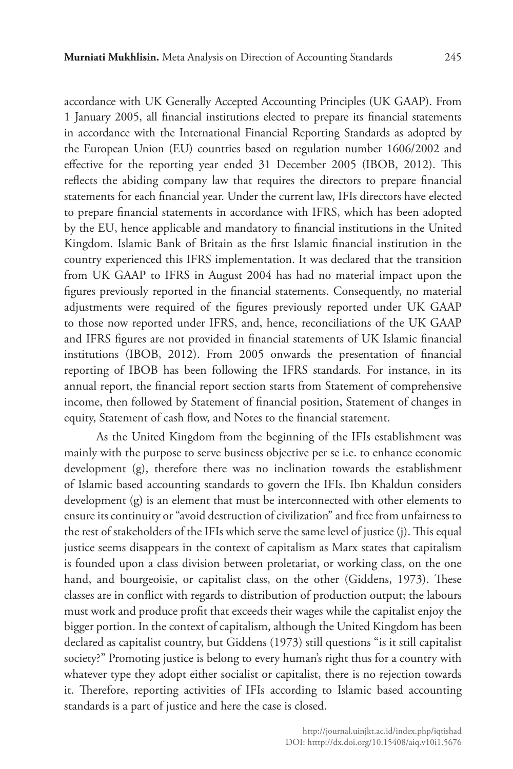accordance with UK Generally Accepted Accounting Principles (UK GAAP). From 1 January 2005, all financial institutions elected to prepare its financial statements in accordance with the International Financial Reporting Standards as adopted by the European Union (EU) countries based on regulation number 1606/2002 and effective for the reporting year ended 31 December 2005 (IBOB, 2012). This reflects the abiding company law that requires the directors to prepare financial statements for each financial year. Under the current law, IFIs directors have elected to prepare financial statements in accordance with IFRS, which has been adopted by the EU, hence applicable and mandatory to financial institutions in the United Kingdom. Islamic Bank of Britain as the first Islamic financial institution in the country experienced this IFRS implementation. It was declared that the transition from UK GAAP to IFRS in August 2004 has had no material impact upon the figures previously reported in the financial statements. Consequently, no material adjustments were required of the figures previously reported under UK GAAP to those now reported under IFRS, and, hence, reconciliations of the UK GAAP and IFRS figures are not provided in financial statements of UK Islamic financial institutions (IBOB, 2012). From 2005 onwards the presentation of financial reporting of IBOB has been following the IFRS standards. For instance, in its annual report, the financial report section starts from Statement of comprehensive income, then followed by Statement of financial position, Statement of changes in equity, Statement of cash flow, and Notes to the financial statement.

As the United Kingdom from the beginning of the IFIs establishment was mainly with the purpose to serve business objective per se i.e. to enhance economic development (g), therefore there was no inclination towards the establishment of Islamic based accounting standards to govern the IFIs. Ibn Khaldun considers development (g) is an element that must be interconnected with other elements to ensure its continuity or "avoid destruction of civilization" and free from unfairness to the rest of stakeholders of the IFIs which serve the same level of justice (j). This equal justice seems disappears in the context of capitalism as Marx states that capitalism is founded upon a class division between proletariat, or working class, on the one hand, and bourgeoisie, or capitalist class, on the other (Giddens, 1973). These classes are in conflict with regards to distribution of production output; the labours must work and produce profit that exceeds their wages while the capitalist enjoy the bigger portion. In the context of capitalism, although the United Kingdom has been declared as capitalist country, but Giddens (1973) still questions "is it still capitalist society?" Promoting justice is belong to every human's right thus for a country with whatever type they adopt either socialist or capitalist, there is no rejection towards it. Therefore, reporting activities of IFIs according to Islamic based accounting standards is a part of justice and here the case is closed.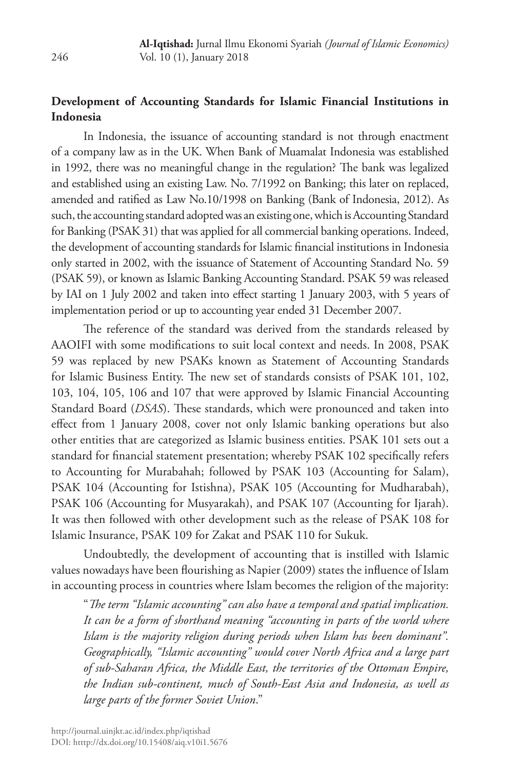# **Development of Accounting Standards for Islamic Financial Institutions in Indonesia**

In Indonesia, the issuance of accounting standard is not through enactment of a company law as in the UK. When Bank of Muamalat Indonesia was established in 1992, there was no meaningful change in the regulation? The bank was legalized and established using an existing Law. No. 7/1992 on Banking; this later on replaced, amended and ratified as Law No.10/1998 on Banking (Bank of Indonesia, 2012). As such, the accounting standard adopted was an existing one, which is Accounting Standard for Banking (PSAK 31) that was applied for all commercial banking operations. Indeed, the development of accounting standards for Islamic financial institutions in Indonesia only started in 2002, with the issuance of Statement of Accounting Standard No. 59 (PSAK 59), or known as Islamic Banking Accounting Standard. PSAK 59 was released by IAI on 1 July 2002 and taken into effect starting 1 January 2003, with 5 years of implementation period or up to accounting year ended 31 December 2007.

The reference of the standard was derived from the standards released by AAOIFI with some modifications to suit local context and needs. In 2008, PSAK 59 was replaced by new PSAKs known as Statement of Accounting Standards for Islamic Business Entity. The new set of standards consists of PSAK 101, 102, 103, 104, 105, 106 and 107 that were approved by Islamic Financial Accounting Standard Board (*DSAS*). These standards, which were pronounced and taken into effect from 1 January 2008, cover not only Islamic banking operations but also other entities that are categorized as Islamic business entities. PSAK 101 sets out a standard for financial statement presentation; whereby PSAK 102 specifically refers to Accounting for Murabahah; followed by PSAK 103 (Accounting for Salam), PSAK 104 (Accounting for Istishna), PSAK 105 (Accounting for Mudharabah), PSAK 106 (Accounting for Musyarakah), and PSAK 107 (Accounting for Ijarah). It was then followed with other development such as the release of PSAK 108 for Islamic Insurance, PSAK 109 for Zakat and PSAK 110 for Sukuk.

Undoubtedly, the development of accounting that is instilled with Islamic values nowadays have been flourishing as Napier (2009) states the influence of Islam in accounting process in countries where Islam becomes the religion of the majority:

"*The term "Islamic accounting" can also have a temporal and spatial implication. It can be a form of shorthand meaning "accounting in parts of the world where Islam is the majority religion during periods when Islam has been dominant". Geographically, "Islamic accounting" would cover North Africa and a large part of sub-Saharan Africa, the Middle East, the territories of the Ottoman Empire, the Indian sub-continent, much of South-East Asia and Indonesia, as well as large parts of the former Soviet Union*."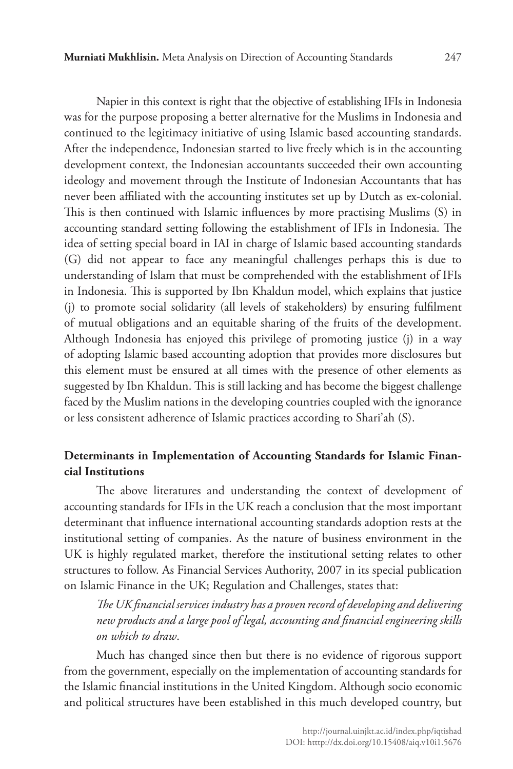Napier in this context is right that the objective of establishing IFIs in Indonesia was for the purpose proposing a better alternative for the Muslims in Indonesia and continued to the legitimacy initiative of using Islamic based accounting standards. After the independence, Indonesian started to live freely which is in the accounting development context, the Indonesian accountants succeeded their own accounting ideology and movement through the Institute of Indonesian Accountants that has never been affiliated with the accounting institutes set up by Dutch as ex-colonial. This is then continued with Islamic influences by more practising Muslims (S) in accounting standard setting following the establishment of IFIs in Indonesia. The idea of setting special board in IAI in charge of Islamic based accounting standards (G) did not appear to face any meaningful challenges perhaps this is due to understanding of Islam that must be comprehended with the establishment of IFIs in Indonesia. This is supported by Ibn Khaldun model, which explains that justice (j) to promote social solidarity (all levels of stakeholders) by ensuring fulfilment of mutual obligations and an equitable sharing of the fruits of the development. Although Indonesia has enjoyed this privilege of promoting justice (j) in a way of adopting Islamic based accounting adoption that provides more disclosures but this element must be ensured at all times with the presence of other elements as suggested by Ibn Khaldun. This is still lacking and has become the biggest challenge faced by the Muslim nations in the developing countries coupled with the ignorance or less consistent adherence of Islamic practices according to Shari'ah (S).

### **Determinants in Implementation of Accounting Standards for Islamic Financial Institutions**

The above literatures and understanding the context of development of accounting standards for IFIs in the UK reach a conclusion that the most important determinant that influence international accounting standards adoption rests at the institutional setting of companies. As the nature of business environment in the UK is highly regulated market, therefore the institutional setting relates to other structures to follow. As Financial Services Authority, 2007 in its special publication on Islamic Finance in the UK; Regulation and Challenges, states that:

*The UK financial services industry has a proven record of developing and delivering new products and a large pool of legal, accounting and financial engineering skills on which to draw*.

Much has changed since then but there is no evidence of rigorous support from the government, especially on the implementation of accounting standards for the Islamic financial institutions in the United Kingdom. Although socio economic and political structures have been established in this much developed country, but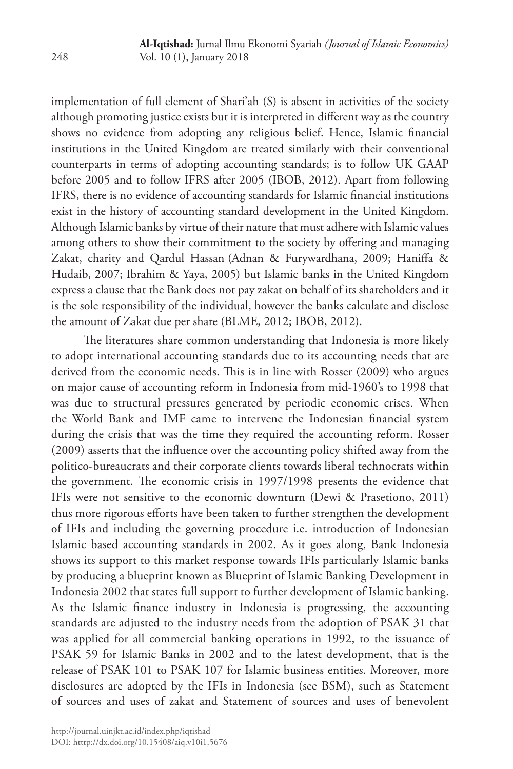implementation of full element of Shari'ah (S) is absent in activities of the society although promoting justice exists but it is interpreted in different way as the country shows no evidence from adopting any religious belief. Hence, Islamic financial institutions in the United Kingdom are treated similarly with their conventional counterparts in terms of adopting accounting standards; is to follow UK GAAP before 2005 and to follow IFRS after 2005 (IBOB, 2012). Apart from following IFRS, there is no evidence of accounting standards for Islamic financial institutions exist in the history of accounting standard development in the United Kingdom. Although Islamic banks by virtue of their nature that must adhere with Islamic values among others to show their commitment to the society by offering and managing Zakat, charity and Qardul Hassan (Adnan & Furywardhana, 2009; Haniffa & Hudaib, 2007; Ibrahim & Yaya, 2005) but Islamic banks in the United Kingdom express a clause that the Bank does not pay zakat on behalf of its shareholders and it is the sole responsibility of the individual, however the banks calculate and disclose the amount of Zakat due per share (BLME, 2012; IBOB, 2012).

The literatures share common understanding that Indonesia is more likely to adopt international accounting standards due to its accounting needs that are derived from the economic needs. This is in line with Rosser (2009) who argues on major cause of accounting reform in Indonesia from mid-1960's to 1998 that was due to structural pressures generated by periodic economic crises. When the World Bank and IMF came to intervene the Indonesian financial system during the crisis that was the time they required the accounting reform. Rosser (2009) asserts that the influence over the accounting policy shifted away from the politico-bureaucrats and their corporate clients towards liberal technocrats within the government. The economic crisis in 1997/1998 presents the evidence that IFIs were not sensitive to the economic downturn (Dewi & Prasetiono, 2011) thus more rigorous efforts have been taken to further strengthen the development of IFIs and including the governing procedure i.e. introduction of Indonesian Islamic based accounting standards in 2002. As it goes along, Bank Indonesia shows its support to this market response towards IFIs particularly Islamic banks by producing a blueprint known as Blueprint of Islamic Banking Development in Indonesia 2002 that states full support to further development of Islamic banking. As the Islamic finance industry in Indonesia is progressing, the accounting standards are adjusted to the industry needs from the adoption of PSAK 31 that was applied for all commercial banking operations in 1992, to the issuance of PSAK 59 for Islamic Banks in 2002 and to the latest development, that is the release of PSAK 101 to PSAK 107 for Islamic business entities. Moreover, more disclosures are adopted by the IFIs in Indonesia (see BSM), such as Statement of sources and uses of zakat and Statement of sources and uses of benevolent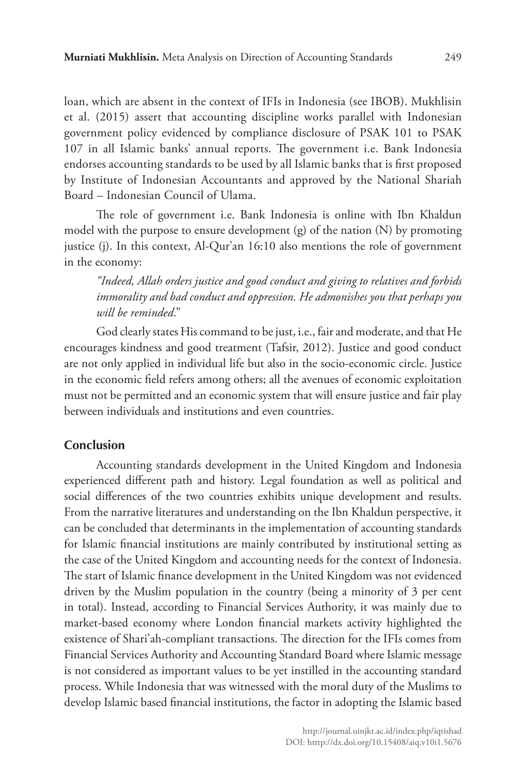loan, which are absent in the context of IFIs in Indonesia (see IBOB). Mukhlisin et al. (2015) assert that accounting discipline works parallel with Indonesian government policy evidenced by compliance disclosure of PSAK 101 to PSAK 107 in all Islamic banks' annual reports. The government i.e. Bank Indonesia endorses accounting standards to be used by all Islamic banks that is first proposed by Institute of Indonesian Accountants and approved by the National Shariah Board – Indonesian Council of Ulama.

The role of government i.e. Bank Indonesia is online with Ibn Khaldun model with the purpose to ensure development (g) of the nation (N) by promoting justice (j). In this context, Al-Qur'an 16:10 also mentions the role of government in the economy:

*"Indeed, Allah orders justice and good conduct and giving to relatives and forbids immorality and bad conduct and oppression. He admonishes you that perhaps you will be reminded*."

God clearly states His command to be just, i.e., fair and moderate, and that He encourages kindness and good treatment (Tafsir, 2012). Justice and good conduct are not only applied in individual life but also in the socio-economic circle. Justice in the economic field refers among others; all the avenues of economic exploitation must not be permitted and an economic system that will ensure justice and fair play between individuals and institutions and even countries.

### **Conclusion**

Accounting standards development in the United Kingdom and Indonesia experienced different path and history. Legal foundation as well as political and social differences of the two countries exhibits unique development and results. From the narrative literatures and understanding on the Ibn Khaldun perspective, it can be concluded that determinants in the implementation of accounting standards for Islamic financial institutions are mainly contributed by institutional setting as the case of the United Kingdom and accounting needs for the context of Indonesia. The start of Islamic finance development in the United Kingdom was not evidenced driven by the Muslim population in the country (being a minority of 3 per cent in total). Instead, according to Financial Services Authority, it was mainly due to market-based economy where London financial markets activity highlighted the existence of Shari'ah-compliant transactions. The direction for the IFIs comes from Financial Services Authority and Accounting Standard Board where Islamic message is not considered as important values to be yet instilled in the accounting standard process. While Indonesia that was witnessed with the moral duty of the Muslims to develop Islamic based financial institutions, the factor in adopting the Islamic based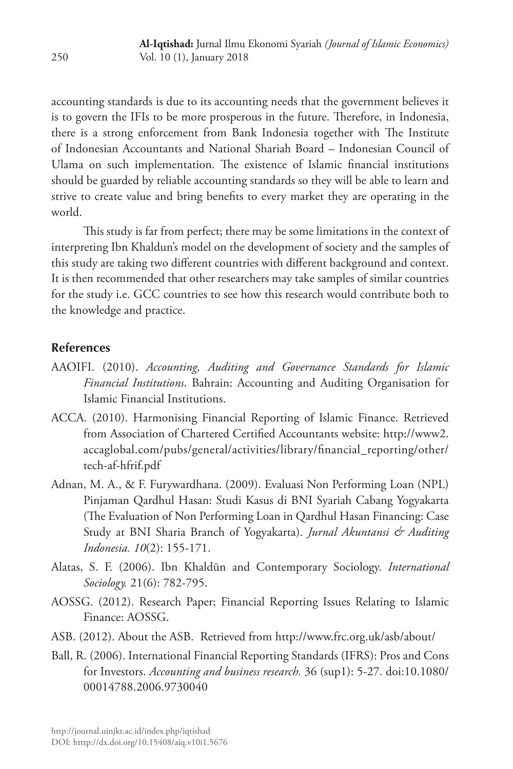accounting standards is due to its accounting needs that the government believes it is to govern the IFIs to be more prosperous in the future. Therefore, in Indonesia, there is a strong enforcement from Bank Indonesia together with The Institute of Indonesian Accountants and National Shariah Board – Indonesian Council of Ulama on such implementation. The existence of Islamic financial institutions should be guarded by reliable accounting standards so they will be able to learn and strive to create value and bring benefits to every market they are operating in the world.

This study is far from perfect; there may be some limitations in the context of interpreting Ibn Khaldun's model on the development of society and the samples of this study are taking two different countries with different background and context. It is then recommended that other researchers may take samples of similar countries for the study i.e. GCC countries to see how this research would contribute both to the knowledge and practice.

# **References**

- AAOIFI. (2010). *Accounting, Auditing and Governance Standards for Islamic Financial Institutions*. Bahrain: Accounting and Auditing Organisation for Islamic Financial Institutions.
- ACCA. (2010). Harmonising Financial Reporting of Islamic Finance. Retrieved from Association of Chartered Certified Accountants website: http://www2. accaglobal.com/pubs/general/activities/library/financial\_reporting/other/ tech-af-hfrif.pdf
- Adnan, M. A., & F. Furywardhana. (2009). Evaluasi Non Performing Loan (NPL) Pinjaman Qardhul Hasan: Studi Kasus di BNI Syariah Cabang Yogyakarta (The Evaluation of Non Performing Loan in Qardhul Hasan Financing: Case Study at BNI Sharia Branch of Yogyakarta). *Jurnal Akuntansi & Auditing Indonesia. 10*(2): 155-171.
- Alatas, S. F. (2006). Ibn Khaldūn and Contemporary Sociology. *International Sociology.* 21(6): 782-795.
- AOSSG. (2012). Research Paper; Financial Reporting Issues Relating to Islamic Finance: AOSSG.
- ASB. (2012). About the ASB. Retrieved from http://www.frc.org.uk/asb/about/
- Ball, R. (2006). International Financial Reporting Standards (IFRS): Pros and Cons for Investors. *Accounting and business research.* 36 (sup1): 5-27. doi:10.1080/ 00014788.2006.9730040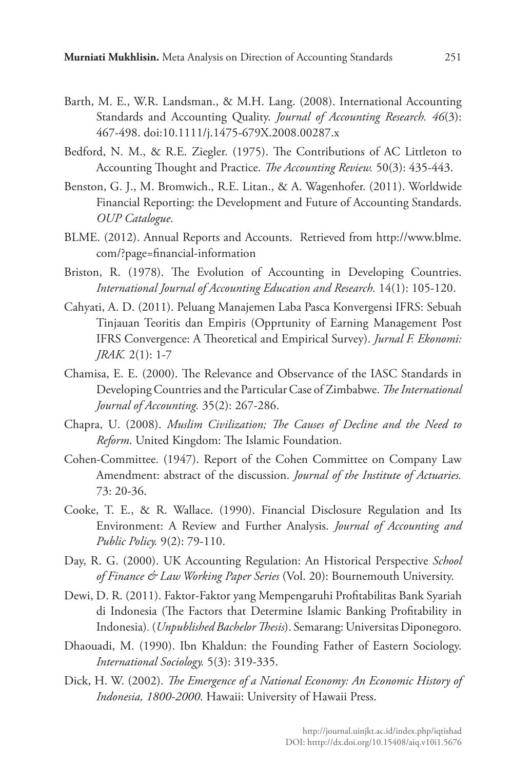- Barth, M. E., W.R. Landsman., & M.H. Lang. (2008). International Accounting Standards and Accounting Quality. *Journal of Accounting Research. 46*(3): 467-498. doi:10.1111/j.1475-679X.2008.00287.x
- Bedford, N. M., & R.E. Ziegler. (1975). The Contributions of AC Littleton to Accounting Thought and Practice. *The Accounting Review.* 50(3): 435-443.
- Benston, G. J., M. Bromwich., R.E. Litan., & A. Wagenhofer. (2011). Worldwide Financial Reporting: the Development and Future of Accounting Standards. *OUP Catalogue*.
- BLME. (2012). Annual Reports and Accounts. Retrieved from http://www.blme. com/?page=financial-information
- Briston, R. (1978). The Evolution of Accounting in Developing Countries. *International Journal of Accounting Education and Research.* 14(1): 105-120.
- Cahyati, A. D. (2011). Peluang Manajemen Laba Pasca Konvergensi IFRS: Sebuah Tinjauan Teoritis dan Empiris (Opprtunity of Earning Management Post IFRS Convergence: A Theoretical and Empirical Survey). *Jurnal F. Ekonomi: JRAK.* 2(1): 1-7
- Chamisa, E. E. (2000). The Relevance and Observance of the IASC Standards in Developing Countries and the Particular Case of Zimbabwe. *The International Journal of Accounting.* 35(2): 267-286.
- Chapra, U. (2008). *Muslim Civilization; The Causes of Decline and the Need to Reform*. United Kingdom: The Islamic Foundation.
- Cohen-Committee. (1947). Report of the Cohen Committee on Company Law Amendment: abstract of the discussion. *Journal of the Institute of Actuaries.*  73: 20-36.
- Cooke, T. E., & R. Wallace. (1990). Financial Disclosure Regulation and Its Environment: A Review and Further Analysis. *Journal of Accounting and Public Policy.* 9(2): 79-110.
- Day, R. G. (2000). UK Accounting Regulation: An Historical Perspective *School of Finance & Law Working Paper Series* (Vol. 20): Bournemouth University.
- Dewi, D. R. (2011). Faktor-Faktor yang Mempengaruhi Profitabilitas Bank Syariah di Indonesia (The Factors that Determine Islamic Banking Profitability in Indonesia)*.* (*Unpublished Bachelor Thesis*). Semarang: Universitas Diponegoro.
- Dhaouadi, M. (1990). Ibn Khaldun: the Founding Father of Eastern Sociology. *International Sociology.* 5(3): 319-335.
- Dick, H. W. (2002). *The Emergence of a National Economy: An Economic History of Indonesia, 1800-2000*. Hawaii: University of Hawaii Press.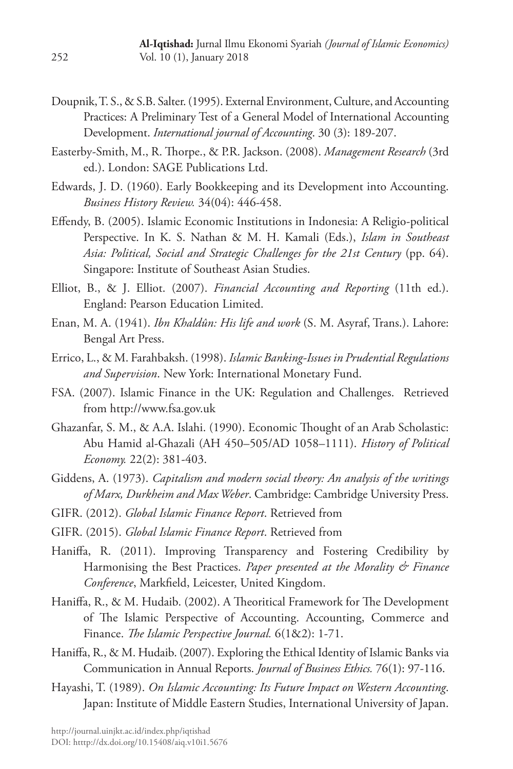- Doupnik, T. S., & S.B. Salter. (1995). External Environment, Culture, and Accounting Practices: A Preliminary Test of a General Model of International Accounting Development. *International journal of Accounting*. 30 (3): 189-207.
- Easterby-Smith, M., R. Thorpe., & P.R. Jackson. (2008). *Management Research* (3rd ed.). London: SAGE Publications Ltd.
- Edwards, J. D. (1960). Early Bookkeeping and its Development into Accounting. *Business History Review.* 34(04): 446-458.
- Effendy, B. (2005). Islamic Economic Institutions in Indonesia: A Religio-political Perspective. In K. S. Nathan & M. H. Kamali (Eds.), *Islam in Southeast Asia: Political, Social and Strategic Challenges for the 21st Century* (pp. 64). Singapore: Institute of Southeast Asian Studies.
- Elliot, B., & J. Elliot. (2007). *Financial Accounting and Reporting* (11th ed.). England: Pearson Education Limited.
- Enan, M. A. (1941). *Ibn Khaldûn: His life and work* (S. M. Asyraf, Trans.). Lahore: Bengal Art Press.
- Errico, L., & M. Farahbaksh. (1998). *Islamic Banking-Issues in Prudential Regulations and Supervision*. New York: International Monetary Fund.
- FSA. (2007). Islamic Finance in the UK: Regulation and Challenges. Retrieved from http://www.fsa.gov.uk
- Ghazanfar, S. M., & A.A. Islahi. (1990). Economic Thought of an Arab Scholastic: Abu Hamid al-Ghazali (AH 450–505/AD 1058–1111). *History of Political Economy.* 22(2): 381-403.
- Giddens, A. (1973). *Capitalism and modern social theory: An analysis of the writings of Marx, Durkheim and Max Weber*. Cambridge: Cambridge University Press.
- GIFR. (2012). *Global Islamic Finance Report*. Retrieved from
- GIFR. (2015). *Global Islamic Finance Report*. Retrieved from
- Haniffa, R. (2011). Improving Transparency and Fostering Credibility by Harmonising the Best Practices. *Paper presented at the Morality & Finance Conference*, Markfield, Leicester, United Kingdom.
- Haniffa, R., & M. Hudaib. (2002). A Theoritical Framework for The Development of The Islamic Perspective of Accounting. Accounting, Commerce and Finance. *The Islamic Perspective Journal.* 6(1&2): 1-71.
- Haniffa, R., & M. Hudaib. (2007). Exploring the Ethical Identity of Islamic Banks via Communication in Annual Reports. *Journal of Business Ethics.* 76(1): 97-116.
- Hayashi, T. (1989). *On Islamic Accounting: Its Future Impact on Western Accounting*. Japan: Institute of Middle Eastern Studies, International University of Japan.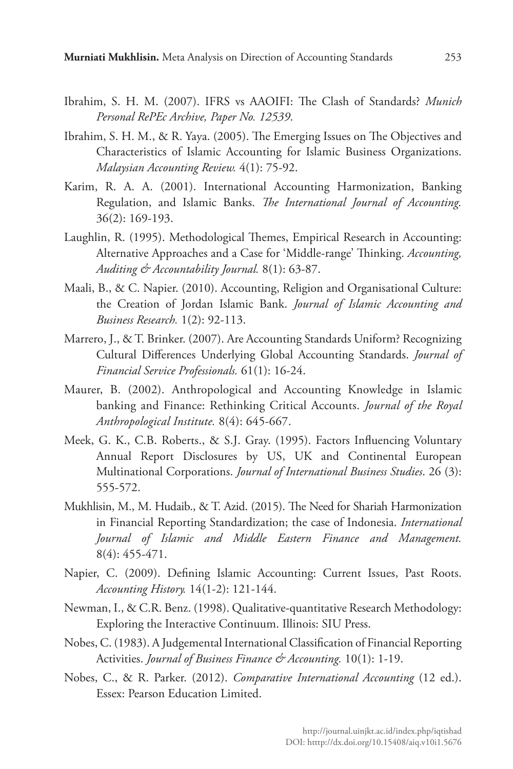- Ibrahim, S. H. M. (2007). IFRS vs AAOIFI: The Clash of Standards? *Munich Personal RePEc Archive, Paper No. 12539*.
- Ibrahim, S. H. M., & R. Yaya. (2005). The Emerging Issues on The Objectives and Characteristics of Islamic Accounting for Islamic Business Organizations. *Malaysian Accounting Review.* 4(1): 75-92.
- Karim, R. A. A. (2001). International Accounting Harmonization, Banking Regulation, and Islamic Banks. *The International Journal of Accounting.*  36(2): 169-193.
- Laughlin, R. (1995). Methodological Themes, Empirical Research in Accounting: Alternative Approaches and a Case for 'Middle-range' Thinking. *Accounting, Auditing & Accountability Journal.* 8(1): 63-87.
- Maali, B., & C. Napier. (2010). Accounting, Religion and Organisational Culture: the Creation of Jordan Islamic Bank. *Journal of Islamic Accounting and Business Research.* 1(2): 92-113.
- Marrero, J., & T. Brinker. (2007). Are Accounting Standards Uniform? Recognizing Cultural Differences Underlying Global Accounting Standards. *Journal of Financial Service Professionals.* 61(1): 16-24.
- Maurer, B. (2002). Anthropological and Accounting Knowledge in Islamic banking and Finance: Rethinking Critical Accounts. *Journal of the Royal Anthropological Institute.* 8(4): 645-667.
- Meek, G. K., C.B. Roberts., & S.J. Gray. (1995). Factors Influencing Voluntary Annual Report Disclosures by US, UK and Continental European Multinational Corporations. *Journal of International Business Studies*. 26 (3): 555-572.
- Mukhlisin, M., M. Hudaib., & T. Azid. (2015). The Need for Shariah Harmonization in Financial Reporting Standardization; the case of Indonesia. *International Journal of Islamic and Middle Eastern Finance and Management.*  8(4): 455-471.
- Napier, C. (2009). Defining Islamic Accounting: Current Issues, Past Roots. *Accounting History.* 14(1-2): 121-144.
- Newman, I., & C.R. Benz. (1998). Qualitative-quantitative Research Methodology: Exploring the Interactive Continuum. Illinois: SIU Press.
- Nobes, C. (1983). A Judgemental International Classification of Financial Reporting Activities. *Journal of Business Finance & Accounting.* 10(1): 1-19.
- Nobes, C., & R. Parker. (2012). *Comparative International Accounting* (12 ed.). Essex: Pearson Education Limited.